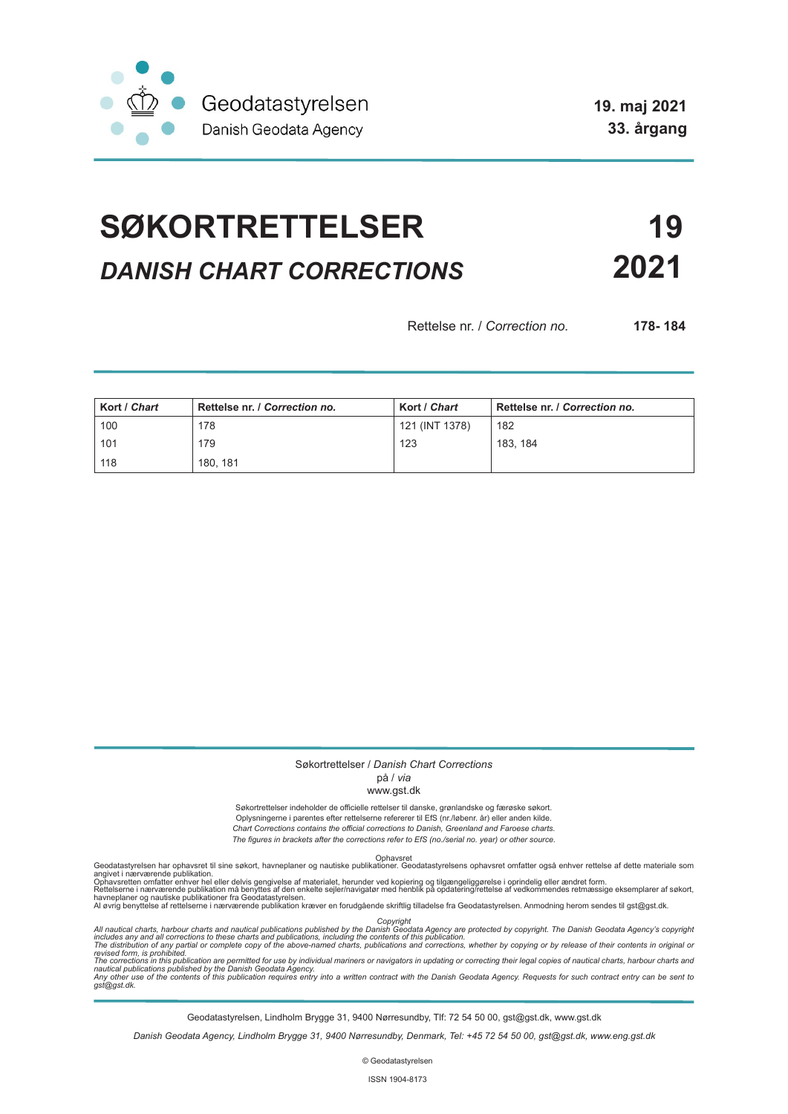

**19. maj 2021 33. årgang**

# **SØKORTRETTELSER 19** *DANISH CHART CORRECTIONS* **2021**

Rettelse nr. / *Correction no.* **178- 184**

| Kort / Chart | Rettelse nr. / Correction no. | Kort / Chart   | Rettelse nr. / Correction no. |
|--------------|-------------------------------|----------------|-------------------------------|
| 100          | 178                           | 121 (INT 1378) | 182                           |
| 101          | 179                           | 123            | 183, 184                      |
| 118          | 180.181                       |                |                               |

#### Søkortrettelser / *Danish Chart Corrections*

## på / *via*

#### www.gst.dk

Søkortrettelser indeholder de officielle rettelser til danske, grønlandske og færøske søkort. Oplysningerne i parentes efter rettelserne refererer til EfS (nr./løbenr. år) eller anden kilde. *Chart Corrections contains the official corrections to Danish, Greenland and Faroese charts. The figures in brackets after the corrections refer to EfS (no./serial no. year) or other source.*

Ophavsret Geodatastyrelsen har ophavsret til sine søkort, havneplaner og nautiske publikationer. Geodatastyrelsens ophavsret omfatter også enhver rettelse af dette materiale som

angivet i nærværende publikation.<br>Ophavsretten omfatter enhver hel eller delvis gengivelse af materialet, herunder ved kopiering og tilgængeliggørelse i oprindelig eller ændret form.<br>Rettelserne i nærværende publikation må

Copyright<br>includes any and all corrections to these charts and publications published by the Danish Agency are protected by copyright. The Danish Geodata Agency's copyright<br>includes any and all corrections to these charts

Geodatastyrelsen, Lindholm Brygge 31, 9400 Nørresundby, Tlf: 72 54 50 00, gst@gst.dk, www.gst.dk

*Danish Geodata Agency, Lindholm Brygge 31, 9400 Nørresundby, Denmark, Tel: +45 72 54 50 00, gst@gst.dk, www.eng.gst.dk*

© Geodatastyrelsen

ISSN 1904-8173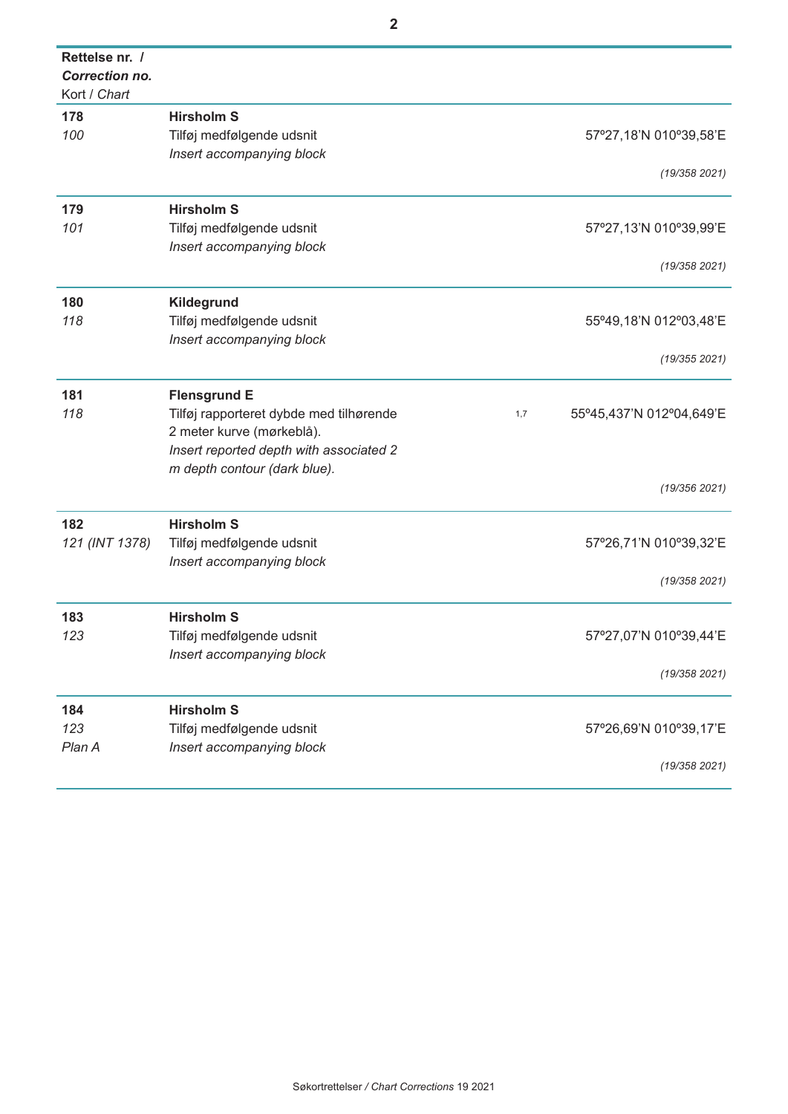| Rettelse nr. /<br>Correction no.<br>Kort / Chart |                                         |                                 |
|--------------------------------------------------|-----------------------------------------|---------------------------------|
|                                                  |                                         |                                 |
| 178                                              | <b>Hirsholm S</b>                       |                                 |
| 100                                              | Tilføj medfølgende udsnit               | 57°27,18'N 010°39,58'E          |
|                                                  | Insert accompanying block               | (19/358 2021)                   |
| 179                                              | <b>Hirsholm S</b>                       |                                 |
| 101                                              | Tilføj medfølgende udsnit               | 57°27,13'N 010°39,99'E          |
|                                                  | Insert accompanying block               |                                 |
|                                                  |                                         | (19/358 2021)                   |
| 180                                              | Kildegrund                              |                                 |
| 118                                              | Tilføj medfølgende udsnit               | 55°49,18'N 012°03,48'E          |
|                                                  | Insert accompanying block               |                                 |
|                                                  |                                         | (19/355 2021)                   |
| 181                                              | <b>Flensgrund E</b>                     |                                 |
| 118                                              | Tilføj rapporteret dybde med tilhørende | 55°45,437'N 012°04,649'E<br>1,7 |
|                                                  | 2 meter kurve (mørkeblå).               |                                 |
|                                                  | Insert reported depth with associated 2 |                                 |
|                                                  | m depth contour (dark blue).            |                                 |
|                                                  |                                         | (19/356 2021)                   |
| 182                                              | <b>Hirsholm S</b>                       |                                 |
| 121 (INT 1378)                                   | Tilføj medfølgende udsnit               | 57°26,71'N 010°39,32'E          |
|                                                  | Insert accompanying block               |                                 |
|                                                  |                                         | (19/358 2021)                   |
| 183                                              | <b>Hirsholm S</b>                       |                                 |
| 123                                              | Tilføj medfølgende udsnit               | 57°27,07'N 010°39,44'E          |
|                                                  | Insert accompanying block               |                                 |
|                                                  |                                         | (19/358 2021)                   |
| 184                                              | <b>Hirsholm S</b>                       |                                 |
| 123                                              | Tilføj medfølgende udsnit               | 57°26,69'N 010°39,17'E          |
| Plan A                                           | Insert accompanying block               |                                 |
|                                                  |                                         | (19/358 2021)                   |
|                                                  |                                         |                                 |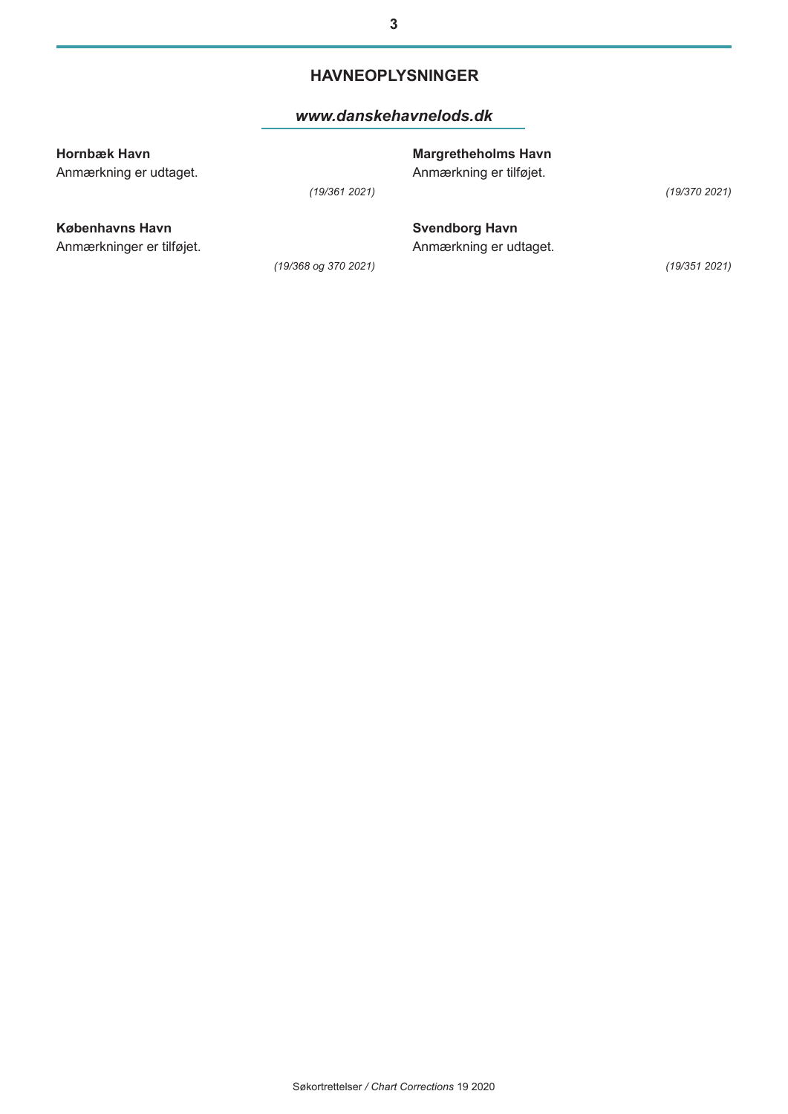## **HAVNEOPLYSNINGER**

### *[www.danskehavnelods.dk](http://www.danskehavnelods.dk/)*

| Hornbæk Havn<br>Anmærkning er udtaget. |                      | <b>Margretheholms Havn</b><br>Anmærkning er tilføjet. |               |
|----------------------------------------|----------------------|-------------------------------------------------------|---------------|
|                                        | (19/3612021)         |                                                       | (19/370 2021) |
| Københavns Havn                        |                      | <b>Svendborg Havn</b>                                 |               |
| Anmærkninger er tilføjet.              |                      | Anmærkning er udtaget.                                |               |
|                                        | (19/368 og 370 2021) |                                                       | (19/351 2021) |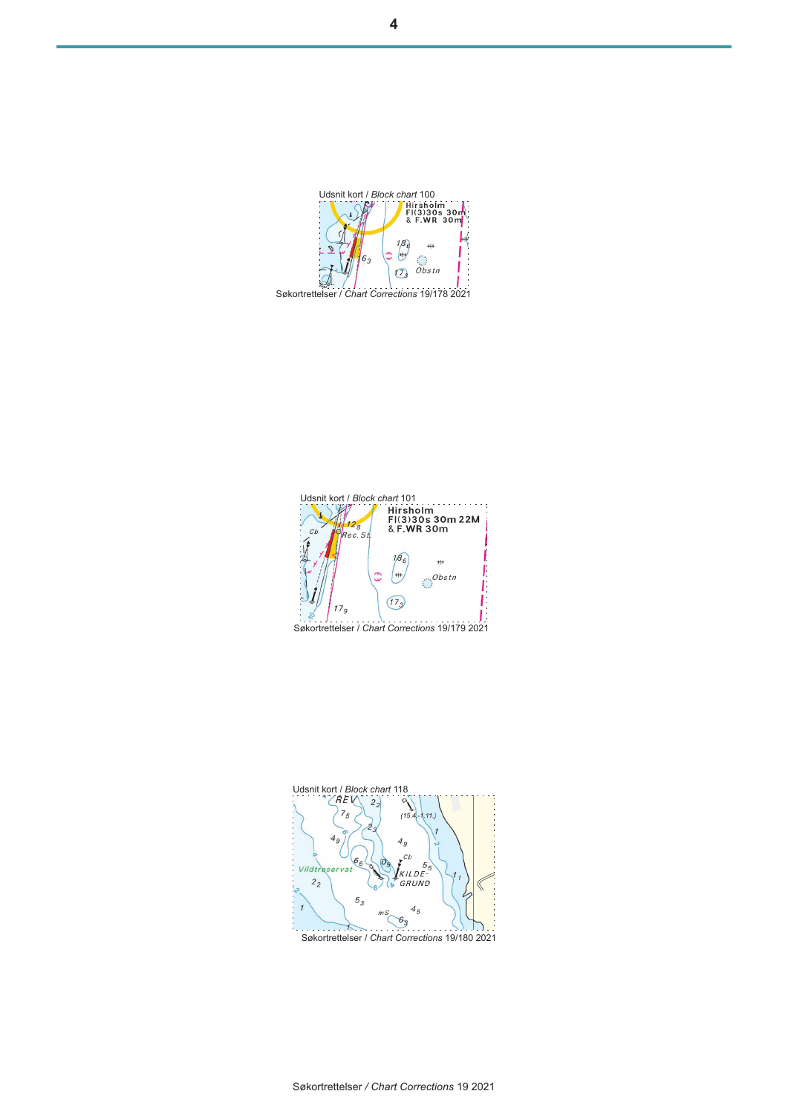

Udsnit kort / *Block chart* 100<br>
FIG330s 30m<br>
& F.WR 30m

 $\begin{bmatrix} 18 \\ -1 \end{bmatrix}$ 

 $+$  $\mathcal{C}$ 

 $\dddot{o}$ *bstn*  $\overline{C_3}$ 





Søkortrettelser */ Chart Corrections* 19 2021



6

 $\mathcal{L}$ 

W.